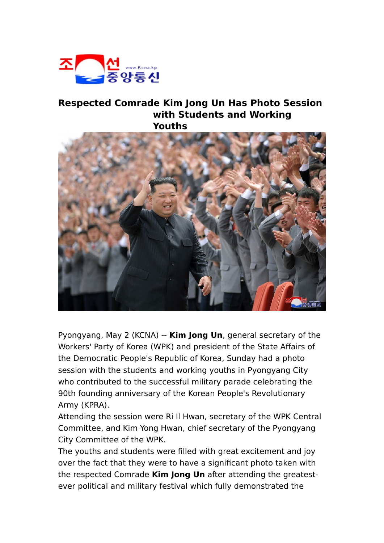

## **Respected Comrade Kim Jong Un Has Photo Session with Students and Working Youths**



Pyongyang, May 2 (KCNA) -- **Kim Jong Un**, general secretary of the Workers' Party of Korea (WPK) and president of the State Affairs of the Democratic People's Republic of Korea, Sunday had a photo session with the students and working youths in Pyongyang City who contributed to the successful military parade celebrating the 90th founding anniversary of the Korean People's Revolutionary Army (KPRA).

Attending the session were Ri Il Hwan, secretary of the WPK Central Committee, and Kim Yong Hwan, chief secretary of the Pyongyang City Committee of the WPK.

The youths and students were filled with great excitement and joy over the fact that they were to have a significant photo taken with the respected Comrade **Kim Jong Un** after attending the greatestever political and military festival which fully demonstrated the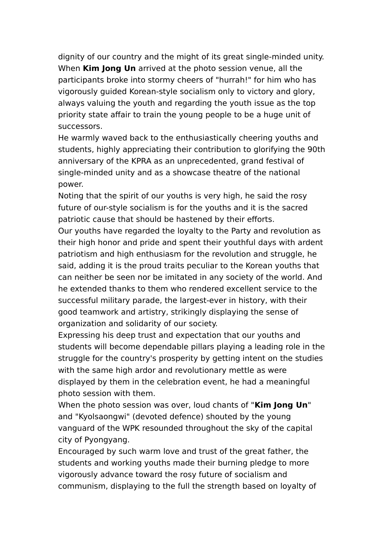dignity of our country and the might of its great single-minded unity. When **Kim Jong Un** arrived at the photo session venue, all the participants broke into stormy cheers of "hurrah!" for him who has vigorously guided Korean-style socialism only to victory and glory, always valuing the youth and regarding the youth issue as the top priority state affair to train the young people to be a huge unit of successors.

He warmly waved back to the enthusiastically cheering youths and students, highly appreciating their contribution to glorifying the 90th anniversary of the KPRA as an unprecedented, grand festival of single-minded unity and as a showcase theatre of the national power.

Noting that the spirit of our youths is very high, he said the rosy future of our-style socialism is for the youths and it is the sacred patriotic cause that should be hastened by their efforts.

Our youths have regarded the loyalty to the Party and revolution as their high honor and pride and spent their youthful days with ardent patriotism and high enthusiasm for the revolution and struggle, he said, adding it is the proud traits peculiar to the Korean youths that can neither be seen nor be imitated in any society of the world. And he extended thanks to them who rendered excellent service to the successful military parade, the largest-ever in history, with their good teamwork and artistry, strikingly displaying the sense of organization and solidarity of our society.

Expressing his deep trust and expectation that our youths and students will become dependable pillars playing a leading role in the struggle for the country's prosperity by getting intent on the studies with the same high ardor and revolutionary mettle as were displayed by them in the celebration event, he had a meaningful photo session with them.

When the photo session was over, loud chants of "**Kim Jong Un**" and "Kyolsaongwi" (devoted defence) shouted by the young vanguard of the WPK resounded throughout the sky of the capital city of Pyongyang.

Encouraged by such warm love and trust of the great father, the students and working youths made their burning pledge to more vigorously advance toward the rosy future of socialism and communism, displaying to the full the strength based on loyalty of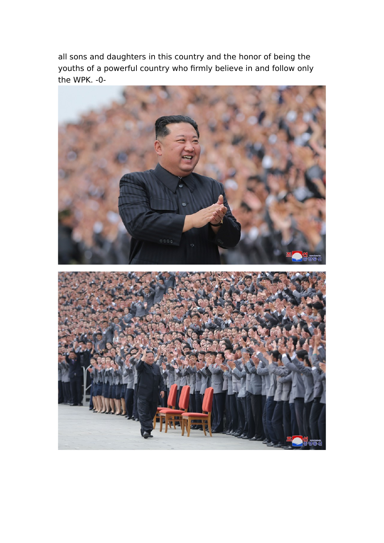all sons and daughters in this country and the honor of being the youths of a powerful country who firmly believe in and follow only the WPK. -0-